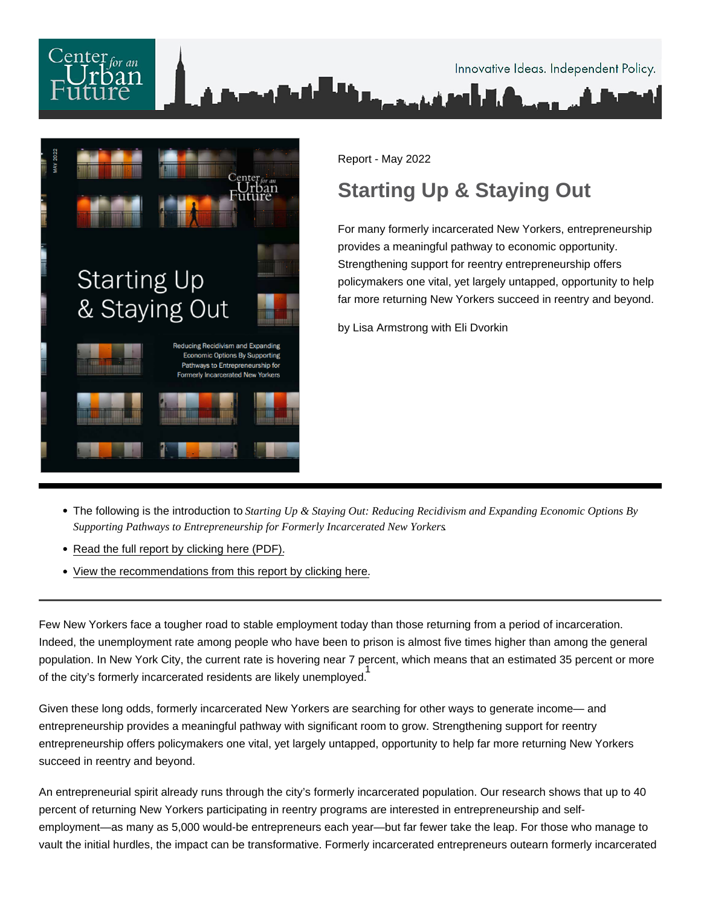

Report - May 2022

# Starting Up & Staying Out

For many formerly incarcerated New Yorkers, entrepreneurship provides a meaningful pathway to economic opportunity. Strengthening support for reentry entrepreneurship offers policymakers one vital, yet largely untapped, opportunity to help far more returning New Yorkers succeed in reentry and beyond.

by Lisa Armstrong with Eli Dvorkin

- The following is the introduction to Starting Up & Staying Out: Reducing Recidivism and Expanding Economic Options By Supporting Pathways to Entrepreneurship for Formerly Incarcerated New Yorkers .
- [Read the full report by clicking here \(PDF\).](https://nycfuture.org/pdf/CUF_Reentry_Entrepreneurship_Report_6.pdf)
- [View the recommendations from this report by clicking here.](https://nycfuture.org/research/starting-up-and-staying-out/P1)

Few New Yorkers face a tougher road to stable employment today than those returning from a period of incarceration. Indeed, the unemployment rate among people who have been to prison is almost five times higher than among the general population. In New York City, the current rate is hovering near 7 percent, which means that an estimated 35 percent or more end<br>1. of the city's formerly incarcerated residents are likely unemployed.

Given these long odds, formerly incarcerated New Yorkers are searching for other ways to generate income— and entrepreneurship provides a meaningful pathway with significant room to grow. Strengthening support for reentry entrepreneurship offers policymakers one vital, yet largely untapped, opportunity to help far more returning New Yorkers succeed in reentry and beyond.

An entrepreneurial spirit already runs through the city's formerly incarcerated population. Our research shows that up to 40 percent of returning New Yorkers participating in reentry programs are interested in entrepreneurship and selfemployment—as many as 5,000 would-be entrepreneurs each year—but far fewer take the leap. For those who manage to vault the initial hurdles, the impact can be transformative. Formerly incarcerated entrepreneurs outearn formerly incarcerated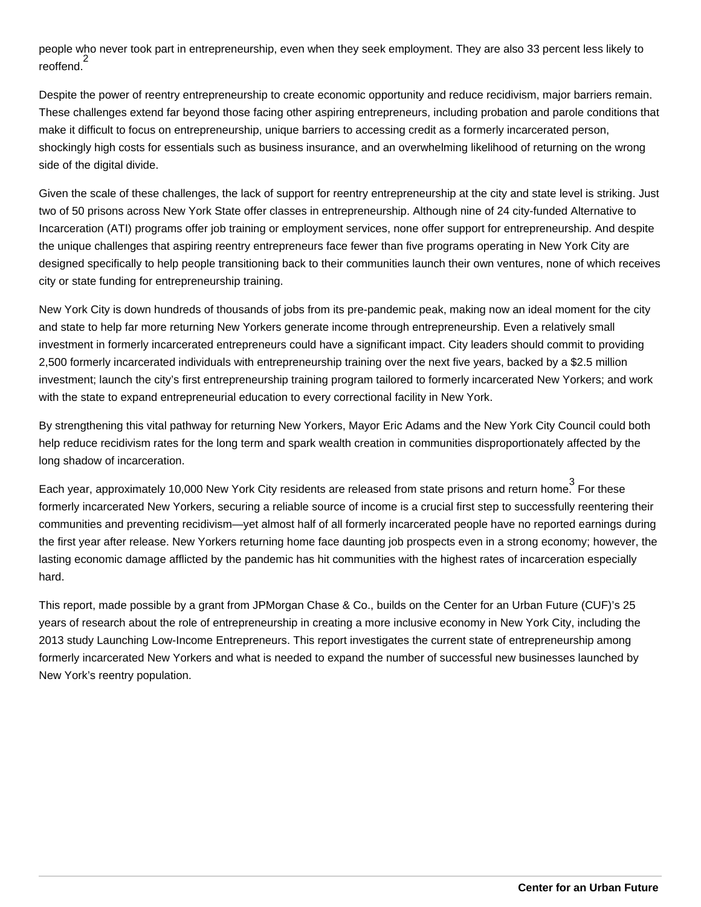people who never took part in entrepreneurship, even when they seek employment. They are also 33 percent less likely to .<br>reoffend.<sup>2</sup>

Despite the power of reentry entrepreneurship to create economic opportunity and reduce recidivism, major barriers remain. These challenges extend far beyond those facing other aspiring entrepreneurs, including probation and parole conditions that make it difficult to focus on entrepreneurship, unique barriers to accessing credit as a formerly incarcerated person, shockingly high costs for essentials such as business insurance, and an overwhelming likelihood of returning on the wrong side of the digital divide.

Given the scale of these challenges, the lack of support for reentry entrepreneurship at the city and state level is striking. Just two of 50 prisons across New York State offer classes in entrepreneurship. Although nine of 24 city-funded Alternative to Incarceration (ATI) programs offer job training or employment services, none offer support for entrepreneurship. And despite the unique challenges that aspiring reentry entrepreneurs face fewer than five programs operating in New York City are designed specifically to help people transitioning back to their communities launch their own ventures, none of which receives city or state funding for entrepreneurship training.

New York City is down hundreds of thousands of jobs from its pre-pandemic peak, making now an ideal moment for the city and state to help far more returning New Yorkers generate income through entrepreneurship. Even a relatively small investment in formerly incarcerated entrepreneurs could have a significant impact. City leaders should commit to providing 2,500 formerly incarcerated individuals with entrepreneurship training over the next five years, backed by a \$2.5 million investment; launch the city's first entrepreneurship training program tailored to formerly incarcerated New Yorkers; and work with the state to expand entrepreneurial education to every correctional facility in New York.

By strengthening this vital pathway for returning New Yorkers, Mayor Eric Adams and the New York City Council could both help reduce recidivism rates for the long term and spark wealth creation in communities disproportionately affected by the long shadow of incarceration.

Each year, approximately 10,000 New York City residents are released from state prisons and return home. 3 For these formerly incarcerated New Yorkers, securing a reliable source of income is a crucial first step to successfully reentering their communities and preventing recidivism—yet almost half of all formerly incarcerated people have no reported earnings during the first year after release. New Yorkers returning home face daunting job prospects even in a strong economy; however, the lasting economic damage afflicted by the pandemic has hit communities with the highest rates of incarceration especially hard.

This report, made possible by a grant from JPMorgan Chase & Co., builds on the Center for an Urban Future (CUF)'s 25 years of research about the role of entrepreneurship in creating a more inclusive economy in New York City, including the 2013 study Launching Low-Income Entrepreneurs. This report investigates the current state of entrepreneurship among formerly incarcerated New Yorkers and what is needed to expand the number of successful new businesses launched by New York's reentry population.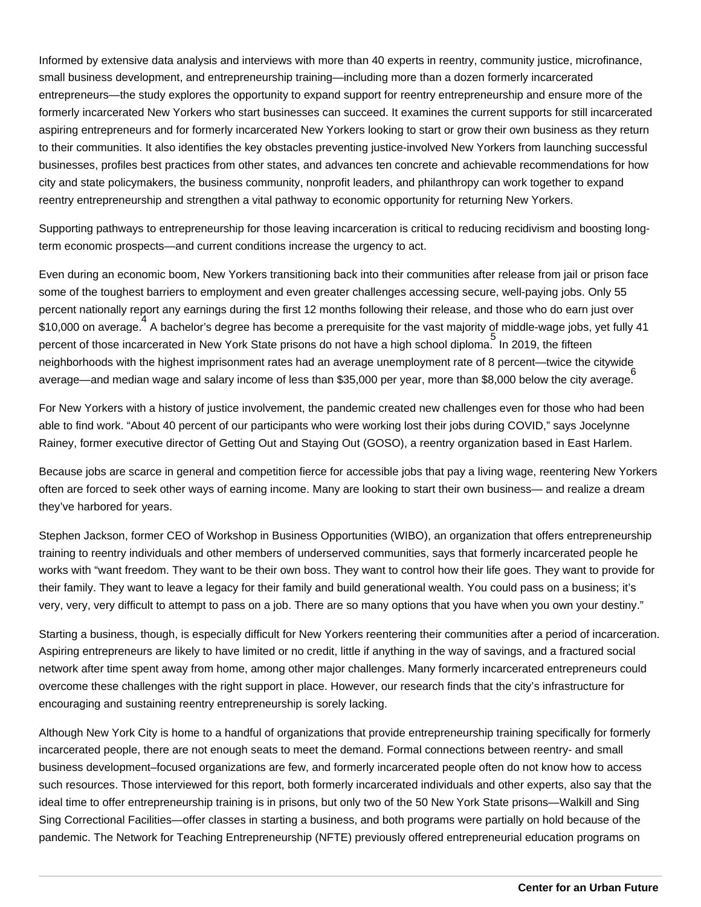Informed by extensive data analysis and interviews with more than 40 experts in reentry, community justice, microfinance, small business development, and entrepreneurship training—including more than a dozen formerly incarcerated entrepreneurs—the study explores the opportunity to expand support for reentry entrepreneurship and ensure more of the formerly incarcerated New Yorkers who start businesses can succeed. It examines the current supports for still incarcerated aspiring entrepreneurs and for formerly incarcerated New Yorkers looking to start or grow their own business as they return to their communities. It also identifies the key obstacles preventing justice-involved New Yorkers from launching successful businesses, profiles best practices from other states, and advances ten concrete and achievable recommendations for how city and state policymakers, the business community, nonprofit leaders, and philanthropy can work together to expand reentry entrepreneurship and strengthen a vital pathway to economic opportunity for returning New Yorkers.

Supporting pathways to entrepreneurship for those leaving incarceration is critical to reducing recidivism and boosting longterm economic prospects—and current conditions increase the urgency to act.

Even during an economic boom, New Yorkers transitioning back into their communities after release from jail or prison face some of the toughest barriers to employment and even greater challenges accessing secure, well-paying jobs. Only 55 percent nationally report any earnings during the first 12 months following their release, and those who do earn just over ers on average.<br>\$10,000 on average. A bachelor's degree has become a prerequisite for the vast majority of middle-wage jobs, yet fully 41 percent of those incarcerated in New York State prisons do not have a high school diploma. In 2019, the fifteen neighborhoods with the highest imprisonment rates had an average unemployment rate of 8 percent—twice the citywide average—and median wage and salary income of less than \$35,000 per year, more than \$8,000 below the city average.

For New Yorkers with a history of justice involvement, the pandemic created new challenges even for those who had been able to find work. "About 40 percent of our participants who were working lost their jobs during COVID," says Jocelynne Rainey, former executive director of Getting Out and Staying Out (GOSO), a reentry organization based in East Harlem.

Because jobs are scarce in general and competition fierce for accessible jobs that pay a living wage, reentering New Yorkers often are forced to seek other ways of earning income. Many are looking to start their own business— and realize a dream they've harbored for years.

Stephen Jackson, former CEO of Workshop in Business Opportunities (WIBO), an organization that offers entrepreneurship training to reentry individuals and other members of underserved communities, says that formerly incarcerated people he works with "want freedom. They want to be their own boss. They want to control how their life goes. They want to provide for their family. They want to leave a legacy for their family and build generational wealth. You could pass on a business; it's very, very, very difficult to attempt to pass on a job. There are so many options that you have when you own your destiny."

Starting a business, though, is especially difficult for New Yorkers reentering their communities after a period of incarceration. Aspiring entrepreneurs are likely to have limited or no credit, little if anything in the way of savings, and a fractured social network after time spent away from home, among other major challenges. Many formerly incarcerated entrepreneurs could overcome these challenges with the right support in place. However, our research finds that the city's infrastructure for encouraging and sustaining reentry entrepreneurship is sorely lacking.

Although New York City is home to a handful of organizations that provide entrepreneurship training specifically for formerly incarcerated people, there are not enough seats to meet the demand. Formal connections between reentry- and small business development–focused organizations are few, and formerly incarcerated people often do not know how to access such resources. Those interviewed for this report, both formerly incarcerated individuals and other experts, also say that the ideal time to offer entrepreneurship training is in prisons, but only two of the 50 New York State prisons—Walkill and Sing Sing Correctional Facilities—offer classes in starting a business, and both programs were partially on hold because of the pandemic. The Network for Teaching Entrepreneurship (NFTE) previously offered entrepreneurial education programs on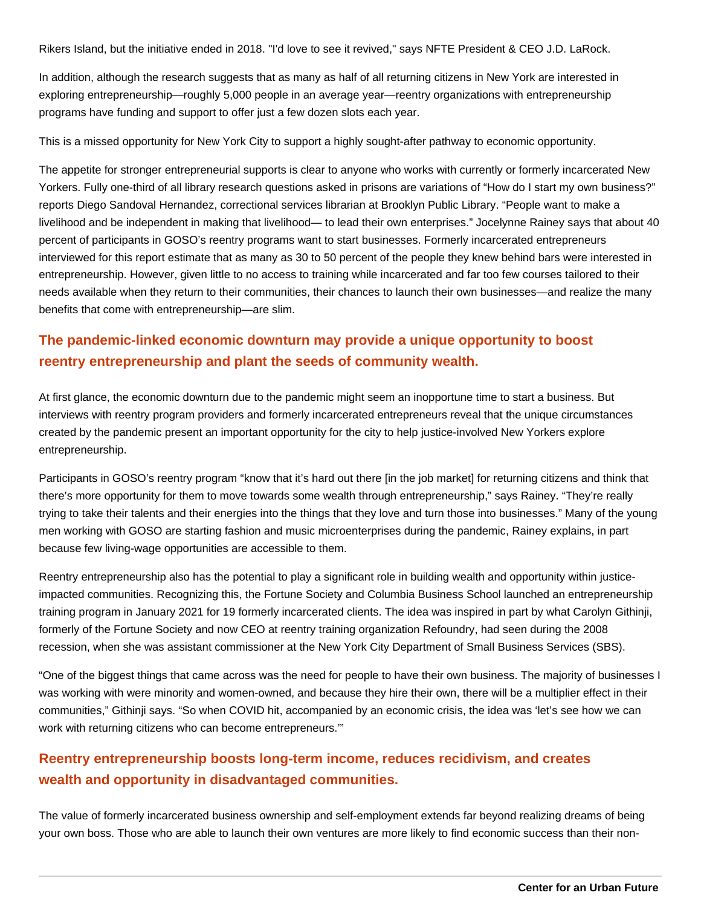Rikers Island, but the initiative ended in 2018. "I'd love to see it revived," says NFTE President & CEO J.D. LaRock.

In addition, although the research suggests that as many as half of all returning citizens in New York are interested in exploring entrepreneurship—roughly 5,000 people in an average year—reentry organizations with entrepreneurship programs have funding and support to offer just a few dozen slots each year.

This is a missed opportunity for New York City to support a highly sought-after pathway to economic opportunity.

The appetite for stronger entrepreneurial supports is clear to anyone who works with currently or formerly incarcerated New Yorkers. Fully one-third of all library research questions asked in prisons are variations of "How do I start my own business?" reports Diego Sandoval Hernandez, correctional services librarian at Brooklyn Public Library. "People want to make a livelihood and be independent in making that livelihood— to lead their own enterprises." Jocelynne Rainey says that about 40 percent of participants in GOSO's reentry programs want to start businesses. Formerly incarcerated entrepreneurs interviewed for this report estimate that as many as 30 to 50 percent of the people they knew behind bars were interested in entrepreneurship. However, given little to no access to training while incarcerated and far too few courses tailored to their needs available when they return to their communities, their chances to launch their own businesses—and realize the many benefits that come with entrepreneurship—are slim.

#### **The pandemic-linked economic downturn may provide a unique opportunity to boost reentry entrepreneurship and plant the seeds of community wealth.**

At first glance, the economic downturn due to the pandemic might seem an inopportune time to start a business. But interviews with reentry program providers and formerly incarcerated entrepreneurs reveal that the unique circumstances created by the pandemic present an important opportunity for the city to help justice-involved New Yorkers explore entrepreneurship.

Participants in GOSO's reentry program "know that it's hard out there [in the job market] for returning citizens and think that there's more opportunity for them to move towards some wealth through entrepreneurship," says Rainey. "They're really trying to take their talents and their energies into the things that they love and turn those into businesses." Many of the young men working with GOSO are starting fashion and music microenterprises during the pandemic, Rainey explains, in part because few living-wage opportunities are accessible to them.

Reentry entrepreneurship also has the potential to play a significant role in building wealth and opportunity within justiceimpacted communities. Recognizing this, the Fortune Society and Columbia Business School launched an entrepreneurship training program in January 2021 for 19 formerly incarcerated clients. The idea was inspired in part by what Carolyn Githinji, formerly of the Fortune Society and now CEO at reentry training organization Refoundry, had seen during the 2008 recession, when she was assistant commissioner at the New York City Department of Small Business Services (SBS).

"One of the biggest things that came across was the need for people to have their own business. The majority of businesses I was working with were minority and women-owned, and because they hire their own, there will be a multiplier effect in their communities," Githinji says. "So when COVID hit, accompanied by an economic crisis, the idea was 'let's see how we can work with returning citizens who can become entrepreneurs.'"

#### **Reentry entrepreneurship boosts long-term income, reduces recidivism, and creates wealth and opportunity in disadvantaged communities.**

The value of formerly incarcerated business ownership and self-employment extends far beyond realizing dreams of being your own boss. Those who are able to launch their own ventures are more likely to find economic success than their non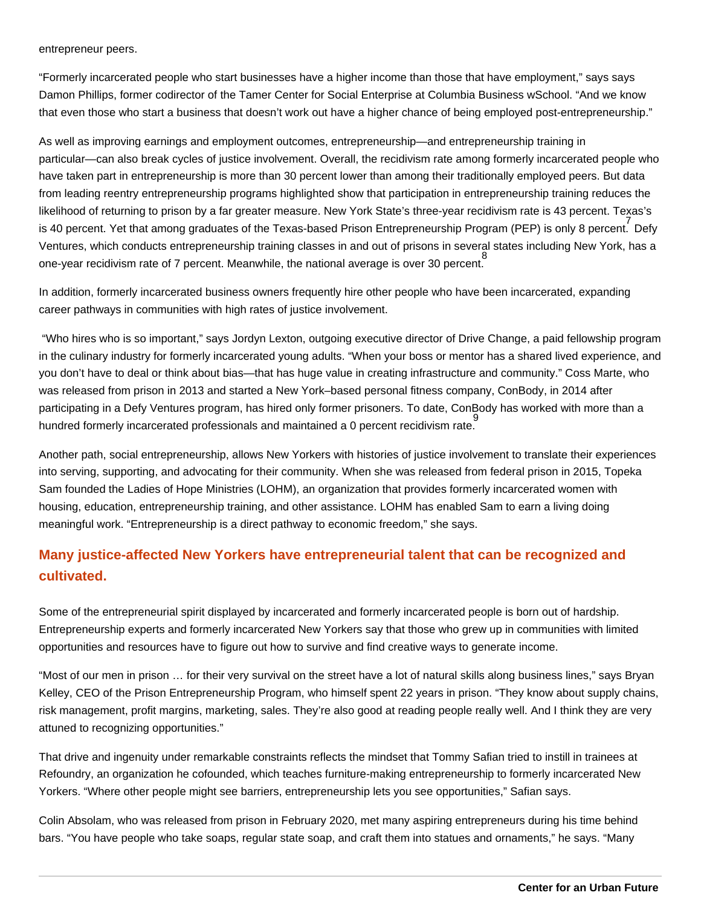entrepreneur peers.

"Formerly incarcerated people who start businesses have a higher income than those that have employment," says says Damon Phillips, former codirector of the Tamer Center for Social Enterprise at Columbia Business wSchool. "And we know that even those who start a business that doesn't work out have a higher chance of being employed post-entrepreneurship."

As well as improving earnings and employment outcomes, entrepreneurship—and entrepreneurship training in particular—can also break cycles of justice involvement. Overall, the recidivism rate among formerly incarcerated people who have taken part in entrepreneurship is more than 30 percent lower than among their traditionally employed peers. But data from leading reentry entrepreneurship programs highlighted show that participation in entrepreneurship training reduces the likelihood of returning to prison by a far greater measure. New York State's three-year recidivism rate is 43 percent. Texas's ret of the Texas-based Prison Entrepreneurship Program (PEP) is only 8 percent. Defy<br>Is 40 percent. Yet that among graduates of the Texas-based Prison Entrepreneurship Program (PEP) is only 8 percent. Defy Ventures, which conducts entrepreneurship training classes in and out of prisons in several states including New York, has a one-year recidivism rate of 7 percent. Meanwhile, the national average is over 30 percent. 8

In addition, formerly incarcerated business owners frequently hire other people who have been incarcerated, expanding career pathways in communities with high rates of justice involvement.

 "Who hires who is so important," says Jordyn Lexton, outgoing executive director of Drive Change, a paid fellowship program in the culinary industry for formerly incarcerated young adults. "When your boss or mentor has a shared lived experience, and you don't have to deal or think about bias—that has huge value in creating infrastructure and community." Coss Marte, who was released from prison in 2013 and started a New York–based personal fitness company, ConBody, in 2014 after participating in a Defy Ventures program, has hired only former prisoners. To date, ConBody has worked with more than a hundred formerly incarcerated professionals and maintained a 0 percent recidivism rate. 9

Another path, social entrepreneurship, allows New Yorkers with histories of justice involvement to translate their experiences into serving, supporting, and advocating for their community. When she was released from federal prison in 2015, Topeka Sam founded the Ladies of Hope Ministries (LOHM), an organization that provides formerly incarcerated women with housing, education, entrepreneurship training, and other assistance. LOHM has enabled Sam to earn a living doing meaningful work. "Entrepreneurship is a direct pathway to economic freedom," she says.

#### **Many justice-affected New Yorkers have entrepreneurial talent that can be recognized and cultivated.**

Some of the entrepreneurial spirit displayed by incarcerated and formerly incarcerated people is born out of hardship. Entrepreneurship experts and formerly incarcerated New Yorkers say that those who grew up in communities with limited opportunities and resources have to figure out how to survive and find creative ways to generate income.

"Most of our men in prison … for their very survival on the street have a lot of natural skills along business lines," says Bryan Kelley, CEO of the Prison Entrepreneurship Program, who himself spent 22 years in prison. "They know about supply chains, risk management, profit margins, marketing, sales. They're also good at reading people really well. And I think they are very attuned to recognizing opportunities."

That drive and ingenuity under remarkable constraints reflects the mindset that Tommy Safian tried to instill in trainees at Refoundry, an organization he cofounded, which teaches furniture-making entrepreneurship to formerly incarcerated New Yorkers. "Where other people might see barriers, entrepreneurship lets you see opportunities," Safian says.

Colin Absolam, who was released from prison in February 2020, met many aspiring entrepreneurs during his time behind bars. "You have people who take soaps, regular state soap, and craft them into statues and ornaments," he says. "Many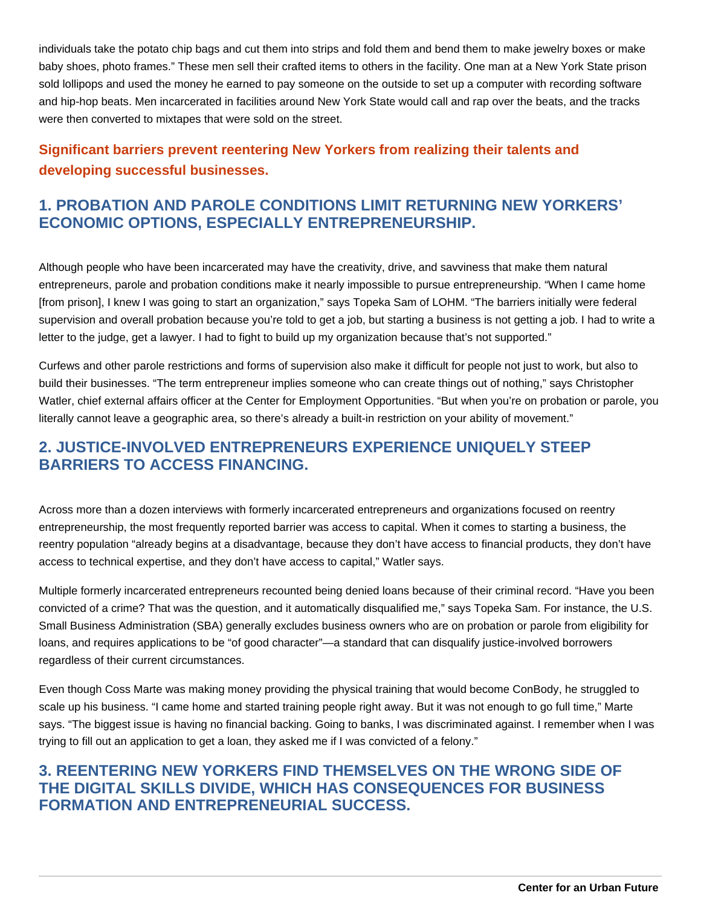individuals take the potato chip bags and cut them into strips and fold them and bend them to make jewelry boxes or make baby shoes, photo frames." These men sell their crafted items to others in the facility. One man at a New York State prison sold lollipops and used the money he earned to pay someone on the outside to set up a computer with recording software and hip-hop beats. Men incarcerated in facilities around New York State would call and rap over the beats, and the tracks were then converted to mixtapes that were sold on the street.

# **Significant barriers prevent reentering New Yorkers from realizing their talents and developing successful businesses.**

## **1. PROBATION AND PAROLE CONDITIONS LIMIT RETURNING NEW YORKERS' ECONOMIC OPTIONS, ESPECIALLY ENTREPRENEURSHIP.**

Although people who have been incarcerated may have the creativity, drive, and savviness that make them natural entrepreneurs, parole and probation conditions make it nearly impossible to pursue entrepreneurship. "When I came home [from prison], I knew I was going to start an organization," says Topeka Sam of LOHM. "The barriers initially were federal supervision and overall probation because you're told to get a job, but starting a business is not getting a job. I had to write a letter to the judge, get a lawyer. I had to fight to build up my organization because that's not supported."

Curfews and other parole restrictions and forms of supervision also make it difficult for people not just to work, but also to build their businesses. "The term entrepreneur implies someone who can create things out of nothing," says Christopher Watler, chief external affairs officer at the Center for Employment Opportunities. "But when you're on probation or parole, you literally cannot leave a geographic area, so there's already a built-in restriction on your ability of movement."

#### **2. JUSTICE-INVOLVED ENTREPRENEURS EXPERIENCE UNIQUELY STEEP BARRIERS TO ACCESS FINANCING.**

Across more than a dozen interviews with formerly incarcerated entrepreneurs and organizations focused on reentry entrepreneurship, the most frequently reported barrier was access to capital. When it comes to starting a business, the reentry population "already begins at a disadvantage, because they don't have access to financial products, they don't have access to technical expertise, and they don't have access to capital," Watler says.

Multiple formerly incarcerated entrepreneurs recounted being denied loans because of their criminal record. "Have you been convicted of a crime? That was the question, and it automatically disqualified me," says Topeka Sam. For instance, the U.S. Small Business Administration (SBA) generally excludes business owners who are on probation or parole from eligibility for loans, and requires applications to be "of good character"—a standard that can disqualify justice-involved borrowers regardless of their current circumstances.

Even though Coss Marte was making money providing the physical training that would become ConBody, he struggled to scale up his business. "I came home and started training people right away. But it was not enough to go full time," Marte says. "The biggest issue is having no financial backing. Going to banks, I was discriminated against. I remember when I was trying to fill out an application to get a loan, they asked me if I was convicted of a felony."

## **3. REENTERING NEW YORKERS FIND THEMSELVES ON THE WRONG SIDE OF THE DIGITAL SKILLS DIVIDE, WHICH HAS CONSEQUENCES FOR BUSINESS FORMATION AND ENTREPRENEURIAL SUCCESS.**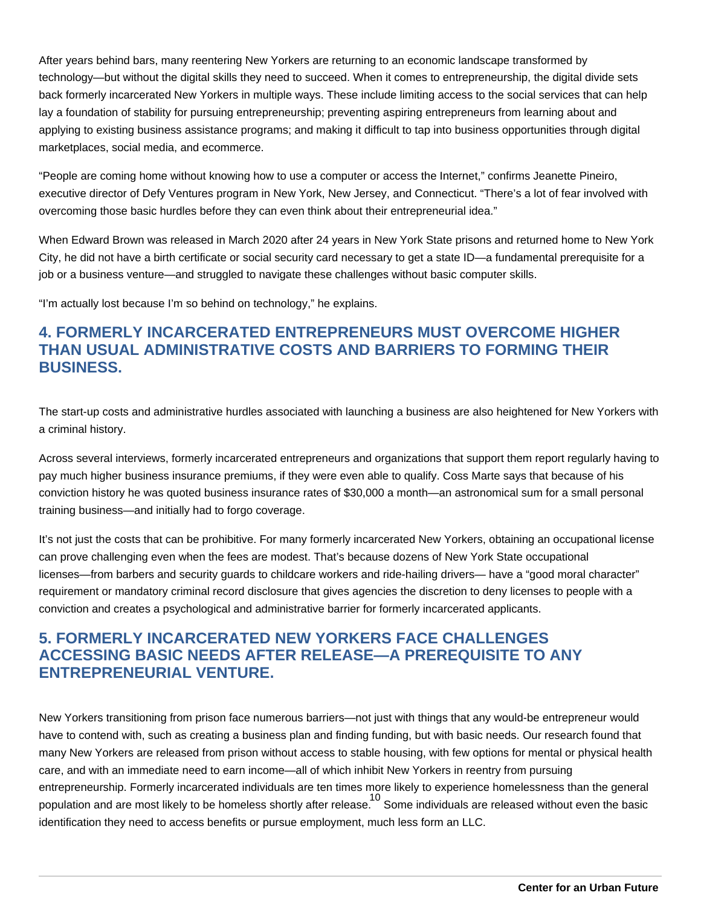After years behind bars, many reentering New Yorkers are returning to an economic landscape transformed by technology—but without the digital skills they need to succeed. When it comes to entrepreneurship, the digital divide sets back formerly incarcerated New Yorkers in multiple ways. These include limiting access to the social services that can help lay a foundation of stability for pursuing entrepreneurship; preventing aspiring entrepreneurs from learning about and applying to existing business assistance programs; and making it difficult to tap into business opportunities through digital marketplaces, social media, and ecommerce.

"People are coming home without knowing how to use a computer or access the Internet," confirms Jeanette Pineiro, executive director of Defy Ventures program in New York, New Jersey, and Connecticut. "There's a lot of fear involved with overcoming those basic hurdles before they can even think about their entrepreneurial idea."

When Edward Brown was released in March 2020 after 24 years in New York State prisons and returned home to New York City, he did not have a birth certificate or social security card necessary to get a state ID—a fundamental prerequisite for a job or a business venture—and struggled to navigate these challenges without basic computer skills.

"I'm actually lost because I'm so behind on technology," he explains.

# **4. FORMERLY INCARCERATED ENTREPRENEURS MUST OVERCOME HIGHER THAN USUAL ADMINISTRATIVE COSTS AND BARRIERS TO FORMING THEIR BUSINESS.**

The start-up costs and administrative hurdles associated with launching a business are also heightened for New Yorkers with a criminal history.

Across several interviews, formerly incarcerated entrepreneurs and organizations that support them report regularly having to pay much higher business insurance premiums, if they were even able to qualify. Coss Marte says that because of his conviction history he was quoted business insurance rates of \$30,000 a month—an astronomical sum for a small personal training business—and initially had to forgo coverage.

It's not just the costs that can be prohibitive. For many formerly incarcerated New Yorkers, obtaining an occupational license can prove challenging even when the fees are modest. That's because dozens of New York State occupational licenses—from barbers and security guards to childcare workers and ride-hailing drivers— have a "good moral character" requirement or mandatory criminal record disclosure that gives agencies the discretion to deny licenses to people with a conviction and creates a psychological and administrative barrier for formerly incarcerated applicants.

# **5. FORMERLY INCARCERATED NEW YORKERS FACE CHALLENGES ACCESSING BASIC NEEDS AFTER RELEASE—A PREREQUISITE TO ANY ENTREPRENEURIAL VENTURE.**

New Yorkers transitioning from prison face numerous barriers—not just with things that any would-be entrepreneur would have to contend with, such as creating a business plan and finding funding, but with basic needs. Our research found that many New Yorkers are released from prison without access to stable housing, with few options for mental or physical health care, and with an immediate need to earn income—all of which inhibit New Yorkers in reentry from pursuing entrepreneurship. Formerly incarcerated individuals are ten times more likely to experience homelessness than the general population and are most likely to be homeless shortly after release. Some individuals are released without even the basic identification they need to access benefits or pursue employment, much less form an LLC.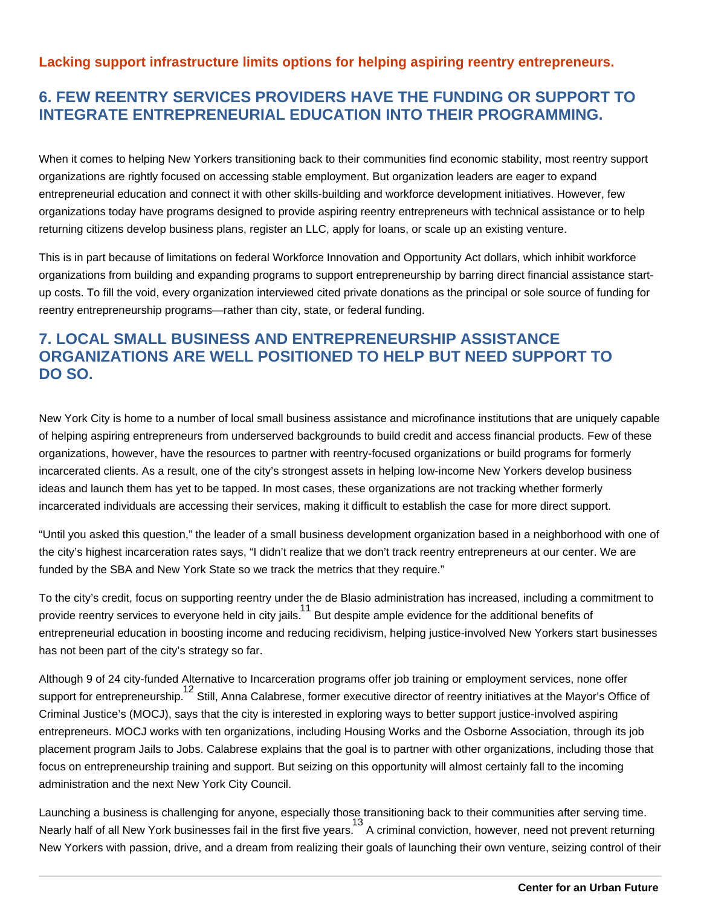#### **Lacking support infrastructure limits options for helping aspiring reentry entrepreneurs.**

# **6. FEW REENTRY SERVICES PROVIDERS HAVE THE FUNDING OR SUPPORT TO INTEGRATE ENTREPRENEURIAL EDUCATION INTO THEIR PROGRAMMING.**

When it comes to helping New Yorkers transitioning back to their communities find economic stability, most reentry support organizations are rightly focused on accessing stable employment. But organization leaders are eager to expand entrepreneurial education and connect it with other skills-building and workforce development initiatives. However, few organizations today have programs designed to provide aspiring reentry entrepreneurs with technical assistance or to help returning citizens develop business plans, register an LLC, apply for loans, or scale up an existing venture.

This is in part because of limitations on federal Workforce Innovation and Opportunity Act dollars, which inhibit workforce organizations from building and expanding programs to support entrepreneurship by barring direct financial assistance startup costs. To fill the void, every organization interviewed cited private donations as the principal or sole source of funding for reentry entrepreneurship programs—rather than city, state, or federal funding.

# **7. LOCAL SMALL BUSINESS AND ENTREPRENEURSHIP ASSISTANCE ORGANIZATIONS ARE WELL POSITIONED TO HELP BUT NEED SUPPORT TO DO SO.**

New York City is home to a number of local small business assistance and microfinance institutions that are uniquely capable of helping aspiring entrepreneurs from underserved backgrounds to build credit and access financial products. Few of these organizations, however, have the resources to partner with reentry-focused organizations or build programs for formerly incarcerated clients. As a result, one of the city's strongest assets in helping low-income New Yorkers develop business ideas and launch them has yet to be tapped. In most cases, these organizations are not tracking whether formerly incarcerated individuals are accessing their services, making it difficult to establish the case for more direct support.

"Until you asked this question," the leader of a small business development organization based in a neighborhood with one of the city's highest incarceration rates says, "I didn't realize that we don't track reentry entrepreneurs at our center. We are funded by the SBA and New York State so we track the metrics that they require."

To the city's credit, focus on supporting reentry under the de Blasio administration has increased, including a commitment to provide reentry services to everyone held in city jails. <sup>11</sup> But despite ample evidence for the additional benefits of entrepreneurial education in boosting income and reducing recidivism, helping justice-involved New Yorkers start businesses has not been part of the city's strategy so far.

Although 9 of 24 city-funded Alternative to Incarceration programs offer job training or employment services, none offer support for entrepreneurship. <sup>12</sup> Still, Anna Calabrese, former executive director of reentry initiatives at the Mayor's Office of Criminal Justice's (MOCJ), says that the city is interested in exploring ways to better support justice-involved aspiring entrepreneurs. MOCJ works with ten organizations, including Housing Works and the Osborne Association, through its job placement program Jails to Jobs. Calabrese explains that the goal is to partner with other organizations, including those that focus on entrepreneurship training and support. But seizing on this opportunity will almost certainly fall to the incoming administration and the next New York City Council.

Launching a business is challenging for anyone, especially those transitioning back to their communities after serving time. Nearly half of all New York businesses fail in the first five years. A criminal conviction, however, need not prevent returning New Yorkers with passion, drive, and a dream from realizing their goals of launching their own venture, seizing control of their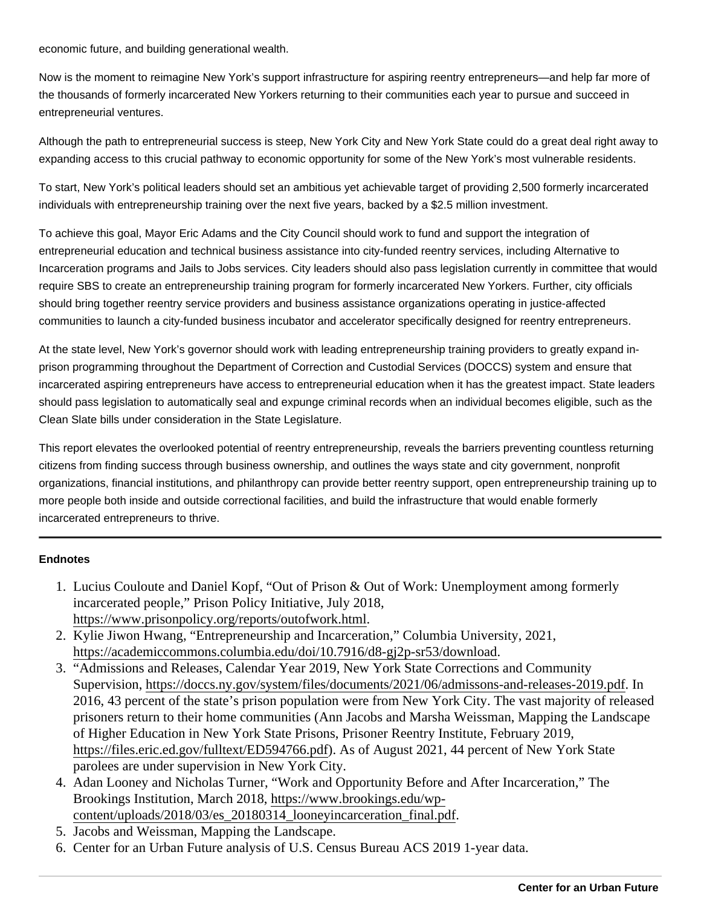economic future, and building generational wealth.

Now is the moment to reimagine New York's support infrastructure for aspiring reentry entrepreneurs—and help far more of the thousands of formerly incarcerated New Yorkers returning to their communities each year to pursue and succeed in entrepreneurial ventures.

Although the path to entrepreneurial success is steep, New York City and New York State could do a great deal right away to expanding access to this crucial pathway to economic opportunity for some of the New York's most vulnerable residents.

To start, New York's political leaders should set an ambitious yet achievable target of providing 2,500 formerly incarcerated individuals with entrepreneurship training over the next five years, backed by a \$2.5 million investment.

To achieve this goal, Mayor Eric Adams and the City Council should work to fund and support the integration of entrepreneurial education and technical business assistance into city-funded reentry services, including Alternative to Incarceration programs and Jails to Jobs services. City leaders should also pass legislation currently in committee that would require SBS to create an entrepreneurship training program for formerly incarcerated New Yorkers. Further, city officials should bring together reentry service providers and business assistance organizations operating in justice-affected communities to launch a city-funded business incubator and accelerator specifically designed for reentry entrepreneurs.

At the state level, New York's governor should work with leading entrepreneurship training providers to greatly expand inprison programming throughout the Department of Correction and Custodial Services (DOCCS) system and ensure that incarcerated aspiring entrepreneurs have access to entrepreneurial education when it has the greatest impact. State leaders should pass legislation to automatically seal and expunge criminal records when an individual becomes eligible, such as the Clean Slate bills under consideration in the State Legislature.

This report elevates the overlooked potential of reentry entrepreneurship, reveals the barriers preventing countless returning citizens from finding success through business ownership, and outlines the ways state and city government, nonprofit organizations, financial institutions, and philanthropy can provide better reentry support, open entrepreneurship training up to more people both inside and outside correctional facilities, and build the infrastructure that would enable formerly incarcerated entrepreneurs to thrive.

#### **Endnotes**

- 1. Lucius Couloute and Daniel Kopf, "Out of Prison & Out of Work: Unemployment among formerly incarcerated people," Prison Policy Initiative, July 2018, [https://www.prisonpolicy.org/reports/outofwork.ht](https://www.prisonpolicy.org/reports/outofwork.html)ml .
- 2. Kylie Jiwon Hwang, "Entrepreneurship and Incarceration," Columbia University, 2021, [https://academiccommons.columbia.edu/doi/10.7916/d8-gj2p-sr53/dow](https://academiccommons.columbia.edu/doi/10.7916/d8-gj2p-sr53/download)nload .
- 3. "Admissions and Releases, Calendar Year 2019, New York State Corrections and Community Supervision,https://doccs.ny.gov/system/files/documents/2021/06/admissons-and-releases-2019.pdf 2016, 43 percent of the state's prison population were from New York City. The vast majority of release prisoners return to their home communities (Ann Jacobs and Marsha Weissman, Mapping the Landsca of Higher Education in New York State Prisons, Prisoner Reentry Institute, February 2019, [https://files.eric.ed.gov/fulltext/ED594766.p](https://files.eric.ed.gov/fulltext/ED594766.pdf)dAs of August 2021, 44 percent of New York State parolees are under supervision in New York City.
- 4. Adan Looney and Nicholas Turner, "Work and Opportunity Before and After Incarceration," The Brookings Institution, March 2018ttps://www.brookings.edu/wp[content/uploads/2018/03/es\\_20180314\\_looneyincarceration\\_fin](https://www.brookings.edu/wp-content/uploads/2018/03/es_20180314_looneyincarceration_final.pdf)al.pdf
- 5. Jacobs and Weissman, Mapping the Landscape.
- 6. Center for an Urban Future analysis of U.S. Census Bureau ACS 2019 1-year data.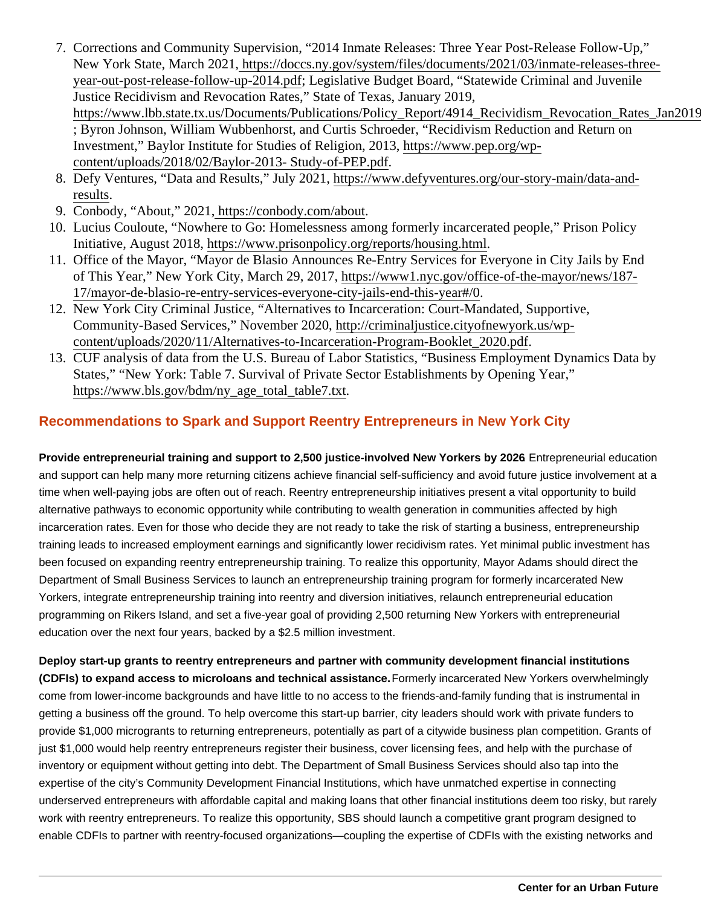- 7. Corrections and Community Supervision, "2014 Inmate Releases: Three Year Post-Release Follow-Up," New York State, March 202thttps://doccs.ny.gov/system/files/documents/2021/03/inmate-releases-three [year-out-post-release-follow-up-2014.](http://https://doccs.ny.gov/system/files/documents/2021/03/inmate-releases-three-year-out-post-release-follow-up-2014.pdf)pdegislative Budget Board, "Statewide Criminal and Juvenile Justice Recidivism and Revocation Rates," State of Texas, January 2019, https://www.lbb.state.tx.us/Documents/Publications/Policy\_Report/4914\_Recividism\_Revocation\_Rates ; Byron Johnson, William Wubbenhorst, and Curtis Schroeder, "Recidivism Reduction and Return on Investment," Baylor Institute for Studies of Religion, 2016 ps://www.pep.org/wp[content/uploads/2018/02/Baylor-2013- Study-of-PEP](https://www.pep.org/wp-content/uploads/2018/02/Baylor-2013- Study-of-PEP.pdf).pdf .
- 8. Defy Ventures, "Data and Results," July 20<sup>2</sup>nations://www.defyventures.org/our-story-main/data-and**[results](https://www.defyventures.org/our-story-main/data-and-results)**
- 9. Conbody, "About," 2021https://conbody.com/about
- 10. Lucius Couloute, "Nowhere to Go: Homelessness among formerly incarcerated people," Prison Policy Initiative, August 201[8, https://www.prisonpolicy.org/reports/housing.h](https://www.prisonpolicy.org/reports/housing.html)tml
- 11. Office of the Mayor, "Mayor de Blasio Announces Re-Entry Services for Everyone in City Jails by End of This Year," New York City, March 29, 201 https://www1.nyc.gov/office-of-the-mayor/news/187-[17/mayor-de-blasio-re-entry-services-everyone-city-jails-end-this-ye](https://www1.nyc.gov/office-of-the-mayor/news/187-17/mayor-de-blasio-re-entry-services-everyone-city-jails-end-this-year#/0)ar#/0 .
- 12. New York City Criminal Justice, "Alternatives to Incarceration: Court-Mandated, Supportive, Community-Based Services," November 2020p://criminaljustice.cityofnewyork.us/wp[content/uploads/2020/11/Alternatives-to-Incarceration-Program-Booklet\\_20](http://criminaljustice.cityofnewyork.us/wp-content/uploads/2020/11/Alternatives-to-Incarceration-Program-Booklet_2020.pdf)20.pdf .
- 13. CUF analysis of data from the U.S. Bureau of Labor Statistics, "Business Employment Dynamics Data b States," "New York: Table 7. Survival of Private Sector Establishments by Opening Year," [https://www.bls.gov/bdm/ny\\_age\\_total\\_table7](https://www.bls.gov/bdm/ny_age_total_table7.txt).txt .

#### Recommendations to Spark and Support Reentry Entrepreneurs in New York City

Provide entrepreneurial training and support to 2,500 justice-involved New Yorkers by 2026 . Entrepreneurial education and support can help many more returning citizens achieve financial self-sufficiency and avoid future justice involvement at a time when well-paying jobs are often out of reach. Reentry entrepreneurship initiatives present a vital opportunity to build alternative pathways to economic opportunity while contributing to wealth generation in communities affected by high incarceration rates. Even for those who decide they are not ready to take the risk of starting a business, entrepreneurship training leads to increased employment earnings and significantly lower recidivism rates. Yet minimal public investment has been focused on expanding reentry entrepreneurship training. To realize this opportunity, Mayor Adams should direct the Department of Small Business Services to launch an entrepreneurship training program for formerly incarcerated New Yorkers, integrate entrepreneurship training into reentry and diversion initiatives, relaunch entrepreneurial education programming on Rikers Island, and set a five-year goal of providing 2,500 returning New Yorkers with entrepreneurial education over the next four years, backed by a \$2.5 million investment.

Deploy start-up grants to reentry entrepreneurs and partner with community development financial institutions (CDFIs) to expand access to microloans and technical assistance. Formerly incarcerated New Yorkers overwhelmingly come from lower-income backgrounds and have little to no access to the friends-and-family funding that is instrumental in getting a business off the ground. To help overcome this start-up barrier, city leaders should work with private funders to provide \$1,000 microgrants to returning entrepreneurs, potentially as part of a citywide business plan competition. Grants of just \$1,000 would help reentry entrepreneurs register their business, cover licensing fees, and help with the purchase of inventory or equipment without getting into debt. The Department of Small Business Services should also tap into the expertise of the city's Community Development Financial Institutions, which have unmatched expertise in connecting underserved entrepreneurs with affordable capital and making loans that other financial institutions deem too risky, but rarely work with reentry entrepreneurs. To realize this opportunity, SBS should launch a competitive grant program designed to enable CDFIs to partner with reentry-focused organizations—coupling the expertise of CDFIs with the existing networks and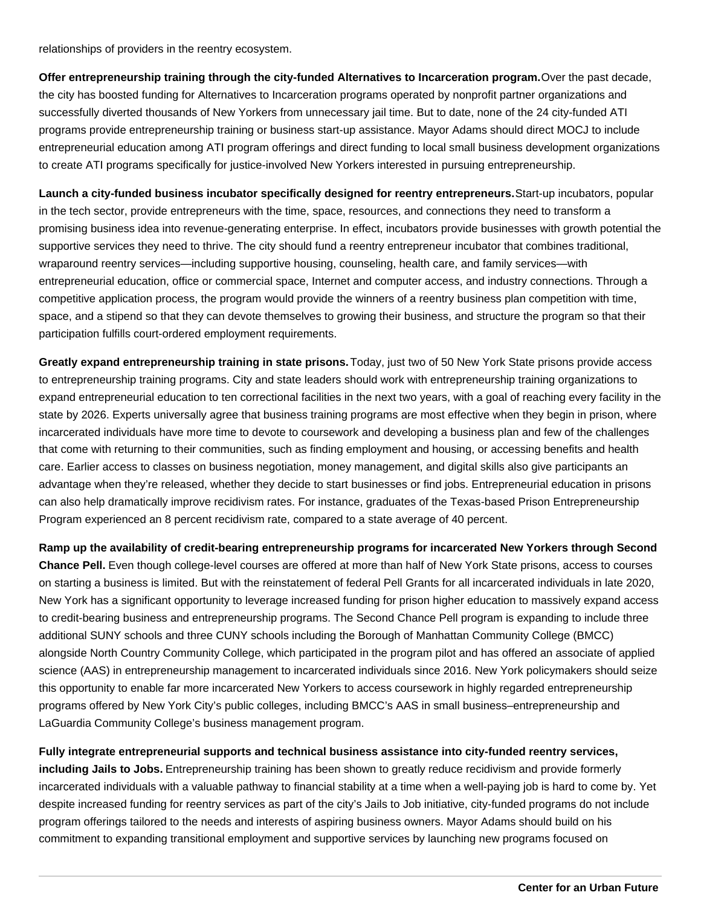relationships of providers in the reentry ecosystem.

**Offer entrepreneurship training through the city-funded Alternatives to Incarceration program.** Over the past decade, the city has boosted funding for Alternatives to Incarceration programs operated by nonprofit partner organizations and successfully diverted thousands of New Yorkers from unnecessary jail time. But to date, none of the 24 city-funded ATI programs provide entrepreneurship training or business start-up assistance. Mayor Adams should direct MOCJ to include entrepreneurial education among ATI program offerings and direct funding to local small business development organizations to create ATI programs specifically for justice-involved New Yorkers interested in pursuing entrepreneurship.

**Launch a city-funded business incubator specifically designed for reentry entrepreneurs.** Start-up incubators, popular in the tech sector, provide entrepreneurs with the time, space, resources, and connections they need to transform a promising business idea into revenue-generating enterprise. In effect, incubators provide businesses with growth potential the supportive services they need to thrive. The city should fund a reentry entrepreneur incubator that combines traditional, wraparound reentry services—including supportive housing, counseling, health care, and family services—with entrepreneurial education, office or commercial space, Internet and computer access, and industry connections. Through a competitive application process, the program would provide the winners of a reentry business plan competition with time, space, and a stipend so that they can devote themselves to growing their business, and structure the program so that their participation fulfills court-ordered employment requirements.

**Greatly expand entrepreneurship training in state prisons.** Today, just two of 50 New York State prisons provide access to entrepreneurship training programs. City and state leaders should work with entrepreneurship training organizations to expand entrepreneurial education to ten correctional facilities in the next two years, with a goal of reaching every facility in the state by 2026. Experts universally agree that business training programs are most effective when they begin in prison, where incarcerated individuals have more time to devote to coursework and developing a business plan and few of the challenges that come with returning to their communities, such as finding employment and housing, or accessing benefits and health care. Earlier access to classes on business negotiation, money management, and digital skills also give participants an advantage when they're released, whether they decide to start businesses or find jobs. Entrepreneurial education in prisons can also help dramatically improve recidivism rates. For instance, graduates of the Texas-based Prison Entrepreneurship Program experienced an 8 percent recidivism rate, compared to a state average of 40 percent.

**Ramp up the availability of credit-bearing entrepreneurship programs for incarcerated New Yorkers through Second Chance Pell.** Even though college-level courses are offered at more than half of New York State prisons, access to courses on starting a business is limited. But with the reinstatement of federal Pell Grants for all incarcerated individuals in late 2020, New York has a significant opportunity to leverage increased funding for prison higher education to massively expand access to credit-bearing business and entrepreneurship programs. The Second Chance Pell program is expanding to include three additional SUNY schools and three CUNY schools including the Borough of Manhattan Community College (BMCC) alongside North Country Community College, which participated in the program pilot and has offered an associate of applied science (AAS) in entrepreneurship management to incarcerated individuals since 2016. New York policymakers should seize this opportunity to enable far more incarcerated New Yorkers to access coursework in highly regarded entrepreneurship programs offered by New York City's public colleges, including BMCC's AAS in small business–entrepreneurship and LaGuardia Community College's business management program.

**Fully integrate entrepreneurial supports and technical business assistance into city-funded reentry services, including Jails to Jobs.** Entrepreneurship training has been shown to greatly reduce recidivism and provide formerly incarcerated individuals with a valuable pathway to financial stability at a time when a well-paying job is hard to come by. Yet despite increased funding for reentry services as part of the city's Jails to Job initiative, city-funded programs do not include program offerings tailored to the needs and interests of aspiring business owners. Mayor Adams should build on his commitment to expanding transitional employment and supportive services by launching new programs focused on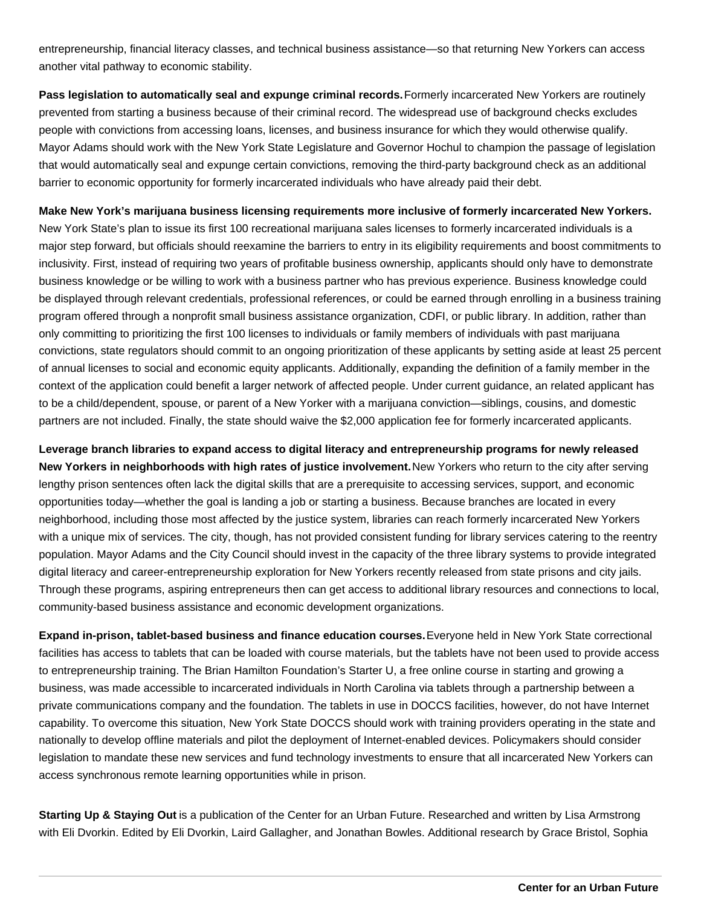entrepreneurship, financial literacy classes, and technical business assistance—so that returning New Yorkers can access another vital pathway to economic stability.

Pass legislation to automatically seal and expunge criminal records. Formerly incarcerated New Yorkers are routinely prevented from starting a business because of their criminal record. The widespread use of background checks excludes people with convictions from accessing loans, licenses, and business insurance for which they would otherwise qualify. Mayor Adams should work with the New York State Legislature and Governor Hochul to champion the passage of legislation that would automatically seal and expunge certain convictions, removing the third-party background check as an additional barrier to economic opportunity for formerly incarcerated individuals who have already paid their debt.

**Make New York's marijuana business licensing requirements more inclusive of formerly incarcerated New Yorkers.** New York State's plan to issue its first 100 recreational marijuana sales licenses to formerly incarcerated individuals is a major step forward, but officials should reexamine the barriers to entry in its eligibility requirements and boost commitments to inclusivity. First, instead of requiring two years of profitable business ownership, applicants should only have to demonstrate business knowledge or be willing to work with a business partner who has previous experience. Business knowledge could be displayed through relevant credentials, professional references, or could be earned through enrolling in a business training program offered through a nonprofit small business assistance organization, CDFI, or public library. In addition, rather than only committing to prioritizing the first 100 licenses to individuals or family members of individuals with past marijuana convictions, state regulators should commit to an ongoing prioritization of these applicants by setting aside at least 25 percent of annual licenses to social and economic equity applicants. Additionally, expanding the definition of a family member in the context of the application could benefit a larger network of affected people. Under current guidance, an related applicant has to be a child/dependent, spouse, or parent of a New Yorker with a marijuana conviction—siblings, cousins, and domestic partners are not included. Finally, the state should waive the \$2,000 application fee for formerly incarcerated applicants.

**Leverage branch libraries to expand access to digital literacy and entrepreneurship programs for newly released New Yorkers in neighborhoods with high rates of justice involvement.** New Yorkers who return to the city after serving lengthy prison sentences often lack the digital skills that are a prerequisite to accessing services, support, and economic opportunities today—whether the goal is landing a job or starting a business. Because branches are located in every neighborhood, including those most affected by the justice system, libraries can reach formerly incarcerated New Yorkers with a unique mix of services. The city, though, has not provided consistent funding for library services catering to the reentry population. Mayor Adams and the City Council should invest in the capacity of the three library systems to provide integrated digital literacy and career-entrepreneurship exploration for New Yorkers recently released from state prisons and city jails. Through these programs, aspiring entrepreneurs then can get access to additional library resources and connections to local, community-based business assistance and economic development organizations.

**Expand in-prison, tablet-based business and finance education courses.** Everyone held in New York State correctional facilities has access to tablets that can be loaded with course materials, but the tablets have not been used to provide access to entrepreneurship training. The Brian Hamilton Foundation's Starter U, a free online course in starting and growing a business, was made accessible to incarcerated individuals in North Carolina via tablets through a partnership between a private communications company and the foundation. The tablets in use in DOCCS facilities, however, do not have Internet capability. To overcome this situation, New York State DOCCS should work with training providers operating in the state and nationally to develop offline materials and pilot the deployment of Internet-enabled devices. Policymakers should consider legislation to mandate these new services and fund technology investments to ensure that all incarcerated New Yorkers can access synchronous remote learning opportunities while in prison.

**Starting Up & Staying Out** is a publication of the Center for an Urban Future. Researched and written by Lisa Armstrong with Eli Dvorkin. Edited by Eli Dvorkin, Laird Gallagher, and Jonathan Bowles. Additional research by Grace Bristol, Sophia